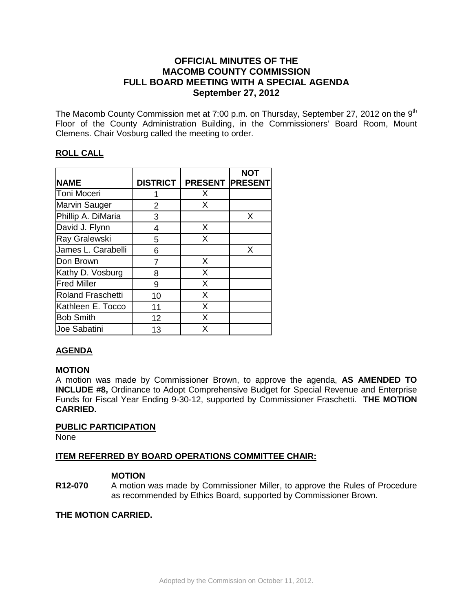# **OFFICIAL MINUTES OF THE MACOMB COUNTY COMMISSION FULL BOARD MEETING WITH A SPECIAL AGENDA September 27, 2012**

The Macomb County Commission met at 7:00 p.m. on Thursday, September 27, 2012 on the  $9<sup>th</sup>$ Floor of the County Administration Building, in the Commissioners' Board Room, Mount Clemens. Chair Vosburg called the meeting to order.

# **ROLL CALL**

|                          |                 |                        | <b>NOT</b> |
|--------------------------|-----------------|------------------------|------------|
| <b>NAME</b>              | <b>DISTRICT</b> | <b>PRESENT PRESENT</b> |            |
| Toni Moceri              |                 | X                      |            |
| Marvin Sauger            | 2               | X                      |            |
| Phillip A. DiMaria       | 3               |                        | X          |
| David J. Flynn           | 4               | X                      |            |
| Ray Gralewski            | 5               | X                      |            |
| James L. Carabelli       | 6               |                        | X          |
| Don Brown                | 7               | X                      |            |
| Kathy D. Vosburg         | 8               | X                      |            |
| <b>Fred Miller</b>       | 9               | X                      |            |
| <b>Roland Fraschetti</b> | 10              | X                      |            |
| Kathleen E. Tocco        | 11              | X                      |            |
| <b>Bob Smith</b>         | 12              | X                      |            |
| <b>Joe Sabatini</b>      | 13              | X                      |            |

# **AGENDA**

## **MOTION**

A motion was made by Commissioner Brown, to approve the agenda, **AS AMENDED TO INCLUDE #8,** Ordinance to Adopt Comprehensive Budget for Special Revenue and Enterprise Funds for Fiscal Year Ending 9-30-12, supported by Commissioner Fraschetti. **THE MOTION CARRIED.** 

## **PUBLIC PARTICIPATION**

None

## **ITEM REFERRED BY BOARD OPERATIONS COMMITTEE CHAIR:**

## **MOTION**

**R12-070** A motion was made by Commissioner Miller, to approve the Rules of Procedure as recommended by Ethics Board, supported by Commissioner Brown.

## **THE MOTION CARRIED.**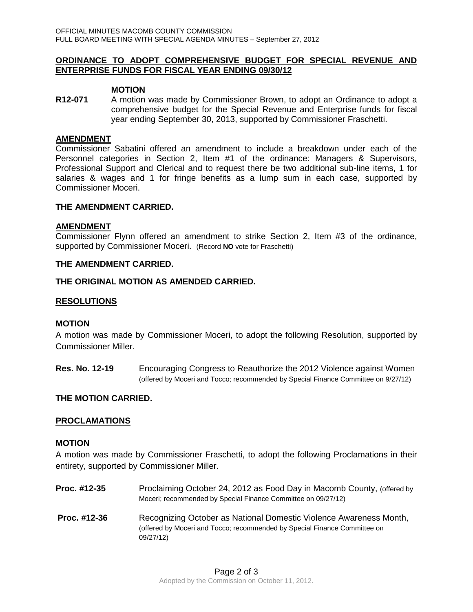### **ORDINANCE TO ADOPT COMPREHENSIVE BUDGET FOR SPECIAL REVENUE AND ENTERPRISE FUNDS FOR FISCAL YEAR ENDING 09/30/12**

#### **MOTION**

**R12-071** A motion was made by Commissioner Brown, to adopt an Ordinance to adopt a comprehensive budget for the Special Revenue and Enterprise funds for fiscal year ending September 30, 2013, supported by Commissioner Fraschetti.

#### **AMENDMENT**

Commissioner Sabatini offered an amendment to include a breakdown under each of the Personnel categories in Section 2, Item #1 of the ordinance: Managers & Supervisors, Professional Support and Clerical and to request there be two additional sub-line items, 1 for salaries & wages and 1 for fringe benefits as a lump sum in each case, supported by Commissioner Moceri.

#### **THE AMENDMENT CARRIED.**

### **AMENDMENT**

Commissioner Flynn offered an amendment to strike Section 2, Item #3 of the ordinance, supported by Commissioner Moceri. (Record **NO** vote for Fraschetti)

#### **THE AMENDMENT CARRIED.**

### **THE ORIGINAL MOTION AS AMENDED CARRIED.**

### **RESOLUTIONS**

#### **MOTION**

A motion was made by Commissioner Moceri, to adopt the following Resolution, supported by Commissioner Miller.

**Res. No. 12-19** Encouraging Congress to Reauthorize the 2012 Violence against Women (offered by Moceri and Tocco; recommended by Special Finance Committee on 9/27/12)

### **THE MOTION CARRIED.**

### **PROCLAMATIONS**

#### **MOTION**

A motion was made by Commissioner Fraschetti, to adopt the following Proclamations in their entirety, supported by Commissioner Miller.

**Proc. #12-35** Proclaiming October 24, 2012 as Food Day in Macomb County, (offered by Moceri; recommended by Special Finance Committee on 09/27/12) **Proc. #12-36** Recognizing October as National Domestic Violence Awareness Month, (offered by Moceri and Tocco; recommended by Special Finance Committee on 09/27/12)